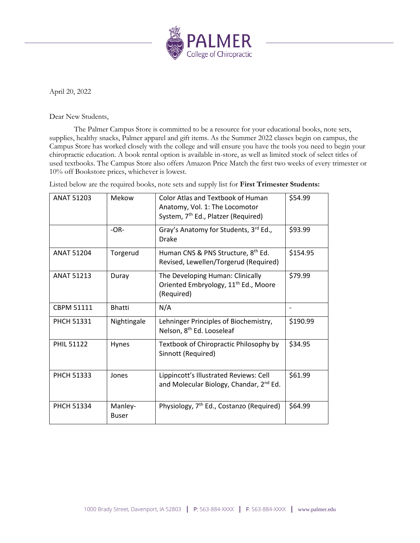

April 20, 2022

Dear New Students,

The Palmer Campus Store is committed to be a resource for your educational books, note sets, supplies, healthy snacks, Palmer apparel and gift items. As the Summer 2022 classes begin on campus, the Campus Store has worked closely with the college and will ensure you have the tools you need to begin your chiropractic education. A book rental option is available in-store, as well as limited stock of select titles of used textbooks. The Campus Store also offers Amazon Price Match the first two weeks of every trimester or 10% off Bookstore prices, whichever is lowest.

Listed below are the required books, note sets and supply list for **First Trimester Students:**

| <b>ANAT 51203</b> | Mekow                   | <b>Color Atlas and Textbook of Human</b><br>Anatomy, Vol. 1: The Locomotor<br>System, 7 <sup>th</sup> Ed., Platzer (Required) | \$54.99  |
|-------------------|-------------------------|-------------------------------------------------------------------------------------------------------------------------------|----------|
|                   | $-OR-$                  | Gray's Anatomy for Students, 3rd Ed.,<br><b>Drake</b>                                                                         | \$93.99  |
| <b>ANAT 51204</b> | Torgerud                | Human CNS & PNS Structure, 8 <sup>th</sup> Ed.<br>Revised, Lewellen/Torgerud (Required)                                       | \$154.95 |
| <b>ANAT 51213</b> | Duray                   | The Developing Human: Clinically<br>Oriented Embryology, 11 <sup>th</sup> Ed., Moore<br>(Required)                            | \$79.99  |
| <b>CBPM 51111</b> | <b>Bhatti</b>           | N/A                                                                                                                           |          |
| <b>PHCH 51331</b> | Nightingale             | Lehninger Principles of Biochemistry,<br>Nelson, 8 <sup>th</sup> Ed. Looseleaf                                                | \$190.99 |
| <b>PHIL 51122</b> | Hynes                   | Textbook of Chiropractic Philosophy by<br>Sinnott (Required)                                                                  | \$34.95  |
| <b>PHCH 51333</b> | Jones                   | Lippincott's Illustrated Reviews: Cell<br>and Molecular Biology, Chandar, 2 <sup>nd</sup> Ed.                                 | \$61.99  |
| <b>PHCH 51334</b> | Manley-<br><b>Buser</b> | Physiology, 7 <sup>th</sup> Ed., Costanzo (Required)                                                                          | \$64.99  |